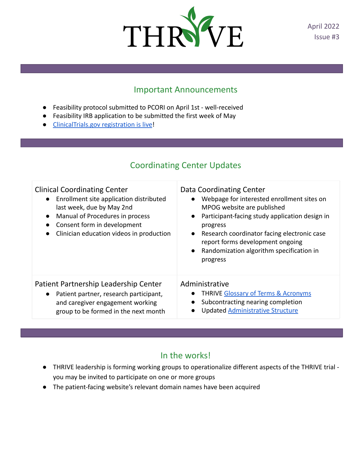

April 2022 Issue #3

## Important Announcements

- Feasibility protocol submitted to PCORI on April 1st well-received
- Feasibility IRB application to be submitted the first week of May
- [ClinicalTrials.gov registration is live](https://clinicaltrials.gov/ct2/show/NCT05346588?term=Kheterpal+thrive&draw=2&rank=1)!

## Coordinating Center Updates

| <b>Clinical Coordinating Center</b>                                                                                                                                      | Data Coordinating Center                                                                                                                         |
|--------------------------------------------------------------------------------------------------------------------------------------------------------------------------|--------------------------------------------------------------------------------------------------------------------------------------------------|
| Enrollment site application distributed                                                                                                                                  | Webpage for interested enrollment sites on                                                                                                       |
| $\bullet$                                                                                                                                                                | MPOG website are published                                                                                                                       |
| last week, due by May 2nd                                                                                                                                                | Participant-facing study application design in                                                                                                   |
| Manual of Procedures in process                                                                                                                                          | progress                                                                                                                                         |
| $\bullet$                                                                                                                                                                | Research coordinator facing electronic case                                                                                                      |
| Consent form in development                                                                                                                                              | $\bullet$                                                                                                                                        |
| $\bullet$                                                                                                                                                                | report forms development ongoing                                                                                                                 |
| Clinician education videos in production                                                                                                                                 | Randomization algorithm specification in                                                                                                         |
| $\bullet$                                                                                                                                                                | progress                                                                                                                                         |
| Patient Partnership Leadership Center<br>Patient partner, research participant,<br>$\bullet$<br>and caregiver engagement working<br>group to be formed in the next month | Administrative<br><b>THRIVE Glossary of Terms &amp; Acronyms</b><br>Subcontracting nearing completion<br><b>Updated Administrative Structure</b> |

## In the works!

- THRIVE leadership is forming working groups to operationalize different aspects of the THRIVE trial you may be invited to participate on one or more groups
- The patient-facing website's relevant domain names have been acquired